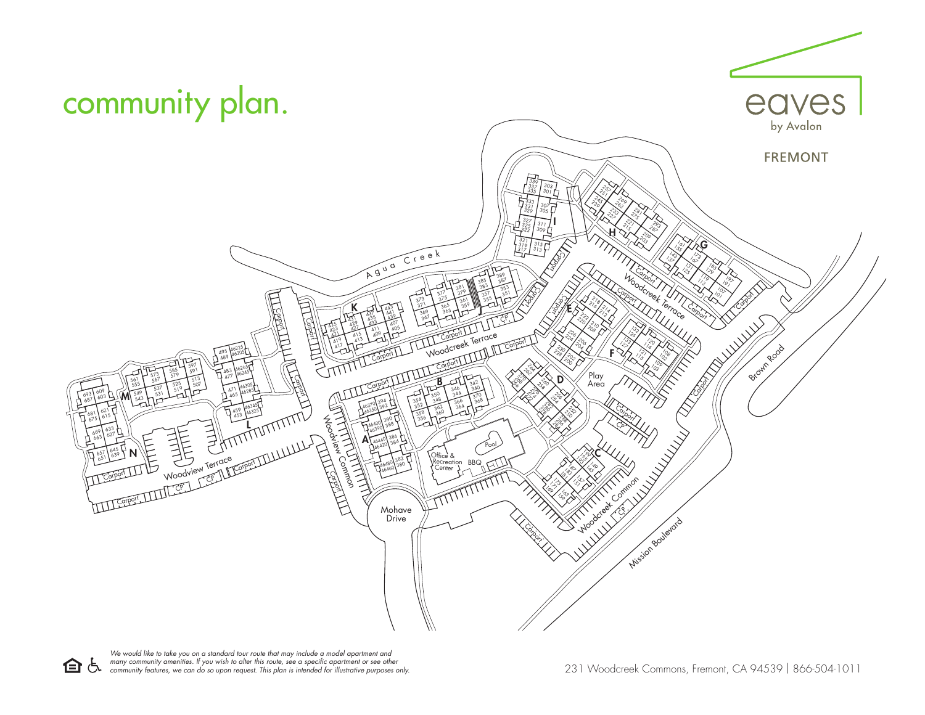